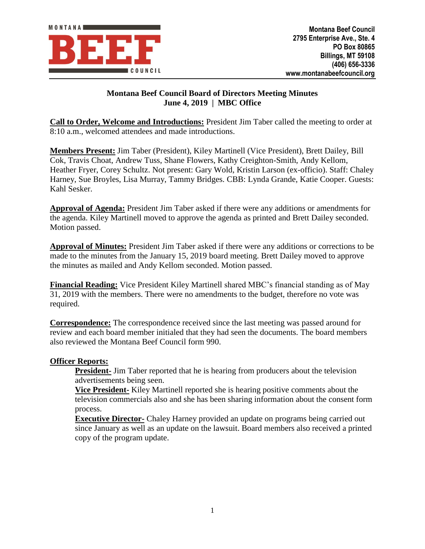

# **Montana Beef Council Board of Directors Meeting Minutes June 4, 2019 | MBC Office**

**Call to Order, Welcome and Introductions:** President Jim Taber called the meeting to order at 8:10 a.m., welcomed attendees and made introductions.

**Members Present:** Jim Taber (President), Kiley Martinell (Vice President), Brett Dailey, Bill Cok, Travis Choat, Andrew Tuss, Shane Flowers, Kathy Creighton-Smith, Andy Kellom, Heather Fryer, Corey Schultz. Not present: Gary Wold, Kristin Larson (ex-officio). Staff: Chaley Harney, Sue Broyles, Lisa Murray, Tammy Bridges. CBB: Lynda Grande, Katie Cooper. Guests: Kahl Sesker.

**Approval of Agenda:** President Jim Taber asked if there were any additions or amendments for the agenda. Kiley Martinell moved to approve the agenda as printed and Brett Dailey seconded. Motion passed.

**Approval of Minutes:** President Jim Taber asked if there were any additions or corrections to be made to the minutes from the January 15, 2019 board meeting. Brett Dailey moved to approve the minutes as mailed and Andy Kellom seconded. Motion passed.

**Financial Reading:** Vice President Kiley Martinell shared MBC's financial standing as of May 31, 2019 with the members. There were no amendments to the budget, therefore no vote was required.

**Correspondence:** The correspondence received since the last meeting was passed around for review and each board member initialed that they had seen the documents. The board members also reviewed the Montana Beef Council form 990.

## **Officer Reports:**

**President-** Jim Taber reported that he is hearing from producers about the television advertisements being seen.

**Vice President-** Kiley Martinell reported she is hearing positive comments about the television commercials also and she has been sharing information about the consent form process.

**Executive Director-** Chaley Harney provided an update on programs being carried out since January as well as an update on the lawsuit. Board members also received a printed copy of the program update.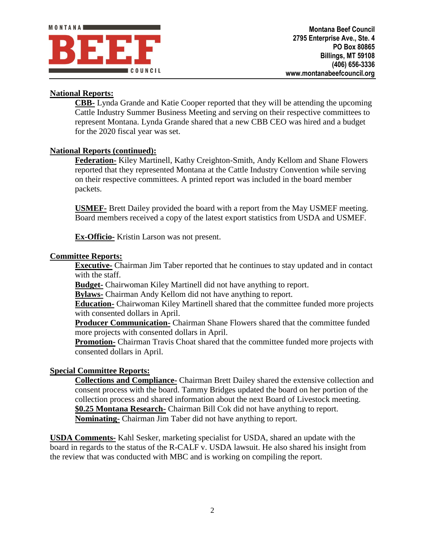

# **National Reports:**

**CBB-** Lynda Grande and Katie Cooper reported that they will be attending the upcoming Cattle Industry Summer Business Meeting and serving on their respective committees to represent Montana. Lynda Grande shared that a new CBB CEO was hired and a budget for the 2020 fiscal year was set.

#### **National Reports (continued):**

**Federation-** Kiley Martinell, Kathy Creighton-Smith, Andy Kellom and Shane Flowers reported that they represented Montana at the Cattle Industry Convention while serving on their respective committees. A printed report was included in the board member packets.

**USMEF-** Brett Dailey provided the board with a report from the May USMEF meeting. Board members received a copy of the latest export statistics from USDA and USMEF.

**Ex-Officio-** Kristin Larson was not present.

#### **Committee Reports:**

**Executive-** Chairman Jim Taber reported that he continues to stay updated and in contact with the staff.

**Budget-** Chairwoman Kiley Martinell did not have anything to report.

**Bylaws-** Chairman Andy Kellom did not have anything to report.

**Education-** Chairwoman Kiley Martinell shared that the committee funded more projects with consented dollars in April.

**Producer Communication-** Chairman Shane Flowers shared that the committee funded more projects with consented dollars in April.

**Promotion-** Chairman Travis Choat shared that the committee funded more projects with consented dollars in April.

## **Special Committee Reports:**

**Collections and Compliance-** Chairman Brett Dailey shared the extensive collection and consent process with the board. Tammy Bridges updated the board on her portion of the collection process and shared information about the next Board of Livestock meeting. **\$0.25 Montana Research-** Chairman Bill Cok did not have anything to report. **Nominating-** Chairman Jim Taber did not have anything to report.

**USDA Comments-** Kahl Sesker, marketing specialist for USDA, shared an update with the board in regards to the status of the R-CALF v. USDA lawsuit. He also shared his insight from the review that was conducted with MBC and is working on compiling the report.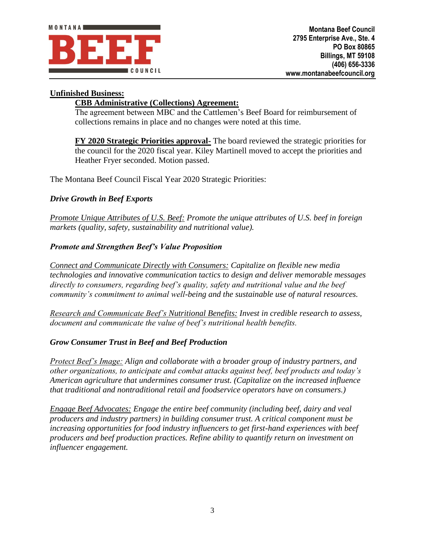

## **Unfinished Business:**

# **CBB Administrative (Collections) Agreement:**

The agreement between MBC and the Cattlemen's Beef Board for reimbursement of collections remains in place and no changes were noted at this time.

**FY 2020 Strategic Priorities approval-** The board reviewed the strategic priorities for the council for the 2020 fiscal year. Kiley Martinell moved to accept the priorities and Heather Fryer seconded. Motion passed.

The Montana Beef Council Fiscal Year 2020 Strategic Priorities:

## *Drive Growth in Beef Exports*

*Promote Unique Attributes of U.S. Beef: Promote the unique attributes of U.S. beef in foreign markets (quality, safety, sustainability and nutritional value).*

## *Promote and Strengthen Beef's Value Proposition*

*Connect and Communicate Directly with Consumers: Capitalize on flexible new media technologies and innovative communication tactics to design and deliver memorable messages directly to consumers, regarding beef's quality, safety and nutritional value and the beef community's commitment to animal well-being and the sustainable use of natural resources.*

*Research and Communicate Beef's Nutritional Benefits: Invest in credible research to assess, document and communicate the value of beef's nutritional health benefits.*

## *Grow Consumer Trust in Beef and Beef Production*

*Protect Beef's Image: Align and collaborate with a broader group of industry partners, and other organizations, to anticipate and combat attacks against beef, beef products and today's American agriculture that undermines consumer trust. (Capitalize on the increased influence that traditional and nontraditional retail and foodservice operators have on consumers.)*

*Engage Beef Advocates: Engage the entire beef community (including beef, dairy and veal producers and industry partners) in building consumer trust. A critical component must be increasing opportunities for food industry influencers to get first-hand experiences with beef producers and beef production practices. Refine ability to quantify return on investment on influencer engagement.*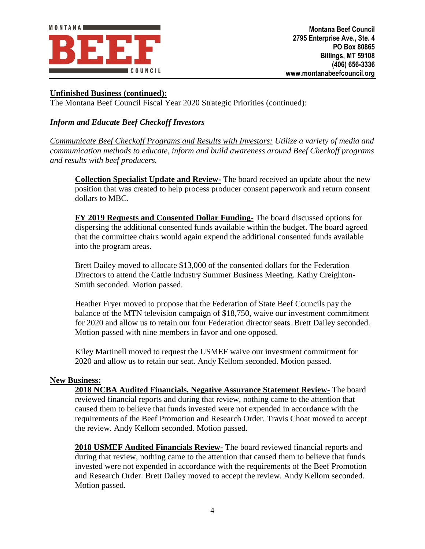

## **Unfinished Business (continued):**

The Montana Beef Council Fiscal Year 2020 Strategic Priorities (continued):

# *Inform and Educate Beef Checkoff Investors*

*Communicate Beef Checkoff Programs and Results with Investors: Utilize a variety of media and communication methods to educate, inform and build awareness around Beef Checkoff programs and results with beef producers.*

**Collection Specialist Update and Review-** The board received an update about the new position that was created to help process producer consent paperwork and return consent dollars to MBC.

**FY 2019 Requests and Consented Dollar Funding-** The board discussed options for dispersing the additional consented funds available within the budget. The board agreed that the committee chairs would again expend the additional consented funds available into the program areas.

Brett Dailey moved to allocate \$13,000 of the consented dollars for the Federation Directors to attend the Cattle Industry Summer Business Meeting. Kathy Creighton-Smith seconded. Motion passed.

Heather Fryer moved to propose that the Federation of State Beef Councils pay the balance of the MTN television campaign of \$18,750, waive our investment commitment for 2020 and allow us to retain our four Federation director seats. Brett Dailey seconded. Motion passed with nine members in favor and one opposed.

Kiley Martinell moved to request the USMEF waive our investment commitment for 2020 and allow us to retain our seat. Andy Kellom seconded. Motion passed.

#### **New Business:**

**2018 NCBA Audited Financials, Negative Assurance Statement Review-** The board reviewed financial reports and during that review, nothing came to the attention that caused them to believe that funds invested were not expended in accordance with the requirements of the Beef Promotion and Research Order. Travis Choat moved to accept the review. Andy Kellom seconded. Motion passed.

**2018 USMEF Audited Financials Review-** The board reviewed financial reports and during that review, nothing came to the attention that caused them to believe that funds invested were not expended in accordance with the requirements of the Beef Promotion and Research Order. Brett Dailey moved to accept the review. Andy Kellom seconded. Motion passed.